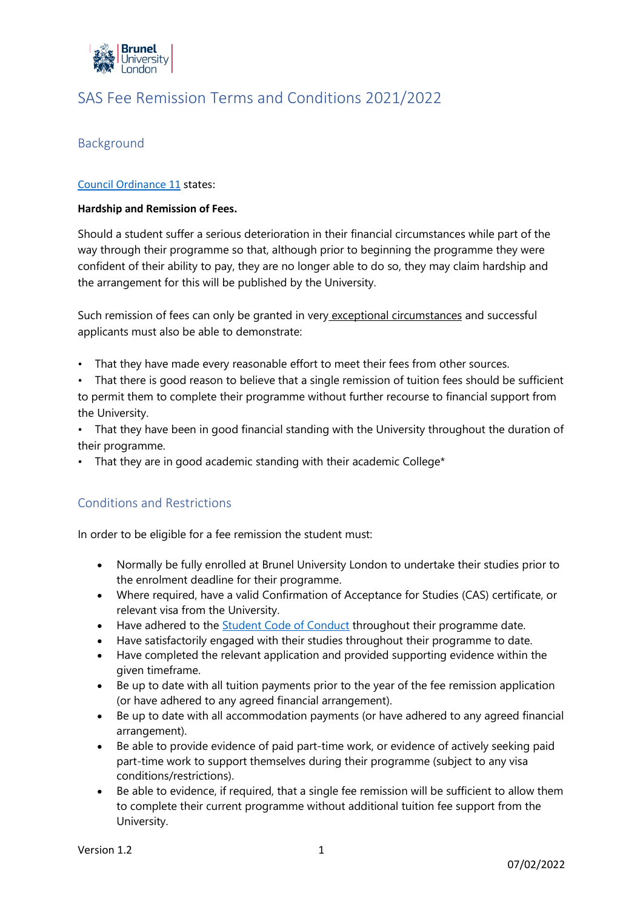

# SAS Fee Remission Terms and Conditions 2021/2022

# Background

### [Council Ordinance 11](https://www.brunel.ac.uk/about/documents/pdf/co11.pdf) states:

#### **Hardship and Remission of Fees.**

Should a student suffer a serious deterioration in their financial circumstances while part of the way through their programme so that, although prior to beginning the programme they were confident of their ability to pay, they are no longer able to do so, they may claim hardship and the arrangement for this will be published by the University.

Such remission of fees can only be granted in very exceptional circumstances and successful applicants must also be able to demonstrate:

- That they have made every reasonable effort to meet their fees from other sources.
- That there is good reason to believe that a single remission of tuition fees should be sufficient to permit them to complete their programme without further recourse to financial support from the University.
- That they have been in good financial standing with the University throughout the duration of their programme.
- That they are in good academic standing with their academic College\*

### Conditions and Restrictions

In order to be eligible for a fee remission the student must:

- Normally be fully enrolled at Brunel University London to undertake their studies prior to the enrolment deadline for their programme.
- Where required, have a valid Confirmation of Acceptance for Studies (CAS) certificate, or relevant visa from the University.
- Have adhered to the [Student Code of Conduct](https://students.brunel.ac.uk/documents/Policies/student-code-of-conduct-july-2021.pdf) throughout their programme date.
- Have satisfactorily engaged with their studies throughout their programme to date.
- Have completed the relevant application and provided supporting evidence within the given timeframe.
- Be up to date with all tuition payments prior to the year of the fee remission application (or have adhered to any agreed financial arrangement).
- Be up to date with all accommodation payments (or have adhered to any agreed financial arrangement).
- Be able to provide evidence of paid part-time work, or evidence of actively seeking paid part-time work to support themselves during their programme (subject to any visa conditions/restrictions).
- Be able to evidence, if required, that a single fee remission will be sufficient to allow them to complete their current programme without additional tuition fee support from the University.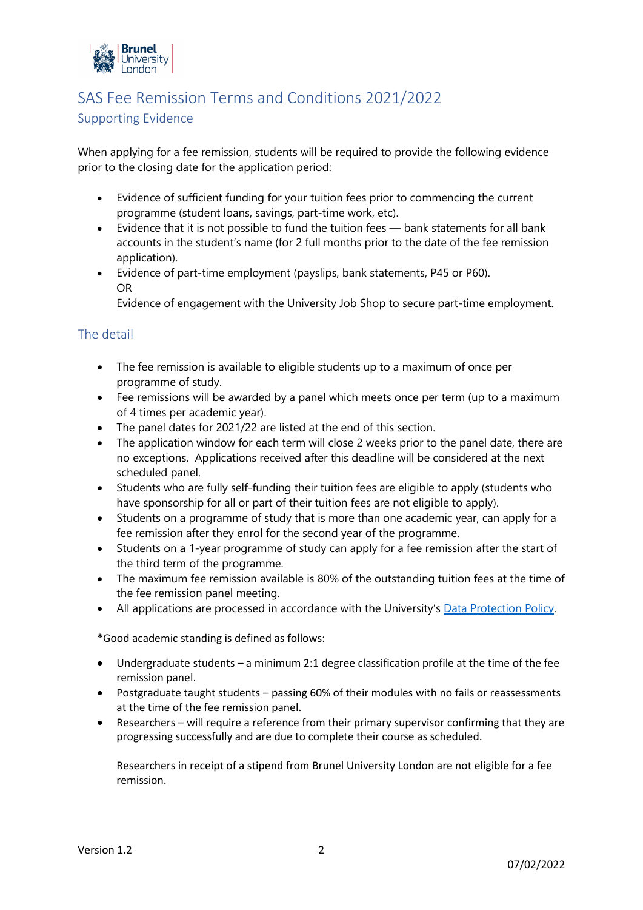

# SAS Fee Remission Terms and Conditions 2021/2022

## Supporting Evidence

When applying for a fee remission, students will be required to provide the following evidence prior to the closing date for the application period:

- Evidence of sufficient funding for your tuition fees prior to commencing the current programme (student loans, savings, part-time work, etc).
- Evidence that it is not possible to fund the tuition fees bank statements for all bank accounts in the student's name (for 2 full months prior to the date of the fee remission application).
- Evidence of part-time employment (payslips, bank statements, P45 or P60). OR

Evidence of engagement with the University Job Shop to secure part-time employment.

## The detail

- The fee remission is available to eligible students up to a maximum of once per programme of study.
- Fee remissions will be awarded by a panel which meets once per term (up to a maximum of 4 times per academic year).
- The panel dates for 2021/22 are listed at the end of this section.
- The application window for each term will close 2 weeks prior to the panel date, there are no exceptions. Applications received after this deadline will be considered at the next scheduled panel.
- Students who are fully self-funding their tuition fees are eligible to apply (students who have sponsorship for all or part of their tuition fees are not eligible to apply).
- Students on a programme of study that is more than one academic year, can apply for a fee remission after they enrol for the second year of the programme.
- Students on a 1-year programme of study can apply for a fee remission after the start of the third term of the programme.
- The maximum fee remission available is 80% of the outstanding tuition fees at the time of the fee remission panel meeting.
- All applications are processed in accordance with the University's [Data Protection Policy.](https://students.brunel.ac.uk/policies-and-documents/data-breach-policy-and-procedures-201920)

\*Good academic standing is defined as follows:

- Undergraduate students a minimum 2:1 degree classification profile at the time of the fee remission panel.
- Postgraduate taught students passing 60% of their modules with no fails or reassessments at the time of the fee remission panel.
- Researchers will require a reference from their primary supervisor confirming that they are progressing successfully and are due to complete their course as scheduled.

Researchers in receipt of a stipend from Brunel University London are not eligible for a fee remission.